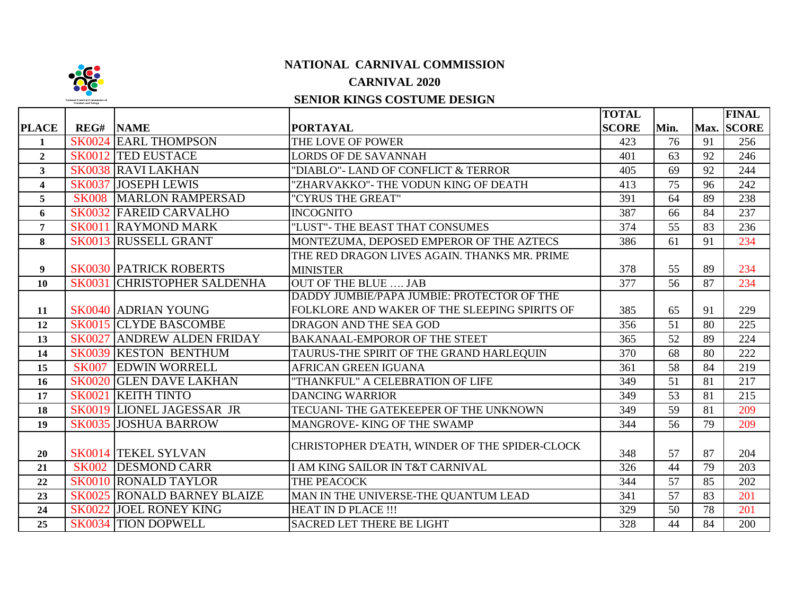

## **NATIONAL CARNIVAL COMMISSION**

## **CARNIVAL 2020**

## **SENIOR KINGS COSTUME DESIGN**

|                  |                  |                                    |                                                | <b>TOTAL</b> |                 |    | <b>FINAL</b> |
|------------------|------------------|------------------------------------|------------------------------------------------|--------------|-----------------|----|--------------|
| <b>PLACE</b>     | <b>REG# NAME</b> |                                    | <b>PORTAYAL</b>                                | <b>SCORE</b> | Min.            |    | Max. SCORE   |
| 1                |                  | <b>SK0024 EARL THOMPSON</b>        | THE LOVE OF POWER                              | 423          | 76              | 91 | 256          |
| $\boldsymbol{2}$ |                  | <b>SK0012 TED EUSTACE</b>          | <b>LORDS OF DE SAVANNAH</b>                    | 401          | 63              | 92 | 246          |
| 3 <sup>1</sup>   |                  | <b>SK0038 RAVI LAKHAN</b>          | "DIABLO"- LAND OF CONFLICT & TERROR            | 405          | 69              | 92 | 244          |
| 4                | <b>SK0037</b>    | <b>JOSEPH LEWIS</b>                | "ZHARVAKKO"- THE VODUN KING OF DEATH           | 413          | 75              | 96 | 242          |
| 5                | <b>SK008</b>     | <b>MARLON RAMPERSAD</b>            | "CYRUS THE GREAT"                              | 391          | 64              | 89 | 238          |
| 6                |                  | <b>SK0032 FAREID CARVALHO</b>      | <b>INCOGNITO</b>                               | 387          | 66              | 84 | 237          |
| $\overline{7}$   |                  | <b>SK0011 RAYMOND MARK</b>         | "LUST"- THE BEAST THAT CONSUMES                | 374          | $\overline{55}$ | 83 | 236          |
| 8                |                  | <b>SK0013 RUSSELL GRANT</b>        | MONTEZUMA, DEPOSED EMPEROR OF THE AZTECS       | 386          | 61              | 91 | 234          |
|                  |                  |                                    | THE RED DRAGON LIVES AGAIN. THANKS MR. PRIME   |              |                 |    |              |
| 9                |                  | <b>SK0030 PATRICK ROBERTS</b>      | <b>MINISTER</b>                                | 378          | 55              | 89 | 234          |
| 10               | <b>SK0031</b>    | <b>CHRISTOPHER SALDENHA</b>        | OUT OF THE BLUE  JAB                           | 377          | 56              | 87 | 234          |
|                  |                  |                                    | DADDY JUMBIE/PAPA JUMBIE: PROTECTOR OF THE     |              |                 |    |              |
| 11               |                  | <b>SK0040 ADRIAN YOUNG</b>         | FOLKLORE AND WAKER OF THE SLEEPING SPIRITS OF  | 385          | 65              | 91 | 229          |
| 12               |                  | <b>SK0015 CLYDE BASCOMBE</b>       | DRAGON AND THE SEA GOD                         | 356          | 51              | 80 | 225          |
| 13               | <b>SK0027</b>    | <b>ANDREW ALDEN FRIDAY</b>         | <b>BAKANAAL-EMPOROR OF THE STEET</b>           | 365          | 52              | 89 | 224          |
| 14               | <b>SK0039</b>    | <b>KESTON BENTHUM</b>              | TAURUS-THE SPIRIT OF THE GRAND HARLEQUIN       | 370          | 68              | 80 | 222          |
| 15               | <b>SK007</b>     | <b>EDWIN WORRELL</b>               | <b>AFRICAN GREEN IGUANA</b>                    | 361          | 58              | 84 | 219          |
| 16               | <b>SK0020</b>    | <b>GLEN DAVE LAKHAN</b>            | "THANKFUL" A CELEBRATION OF LIFE               | 349          | 51              | 81 | 217          |
| 17               | <b>SK0021</b>    | <b>KEITH TINTO</b>                 | <b>DANCING WARRIOR</b>                         | 349          | $\overline{53}$ | 81 | 215          |
| 18               |                  | SK0019 LIONEL JAGESSAR JR          | TECUANI- THE GATEKEEPER OF THE UNKNOWN         | 349          | 59              | 81 | 209          |
| 19               |                  | <b>SK0035 JOSHUA BARROW</b>        | MANGROVE-KING OF THE SWAMP                     | 344          | 56              | 79 | 209          |
| 20               |                  | <b>SK0014 TEKEL SYLVAN</b>         | CHRISTOPHER D'EATH, WINDER OF THE SPIDER-CLOCK | 348          | 57              | 87 | 204          |
| 21               |                  | SK002 DESMOND CARR                 | I AM KING SAILOR IN T&T CARNIVAL               | 326          | 44              | 79 | 203          |
| 22               |                  | <b>SK0010 RONALD TAYLOR</b>        | THE PEACOCK                                    | 344          | 57              | 85 | 202          |
| 23               |                  | <b>SK0025 RONALD BARNEY BLAIZE</b> | MAN IN THE UNIVERSE-THE QUANTUM LEAD           | 341          | 57              | 83 | 201          |
| 24               |                  | <b>SK0022 JOEL RONEY KING</b>      | <b>HEAT IN D PLACE !!!</b>                     | 329          | 50              | 78 | 201          |
| 25               |                  | <b>SK0034 TION DOPWELL</b>         | <b>SACRED LET THERE BE LIGHT</b>               | 328          | 44              | 84 | 200          |
|                  |                  |                                    |                                                |              |                 |    |              |